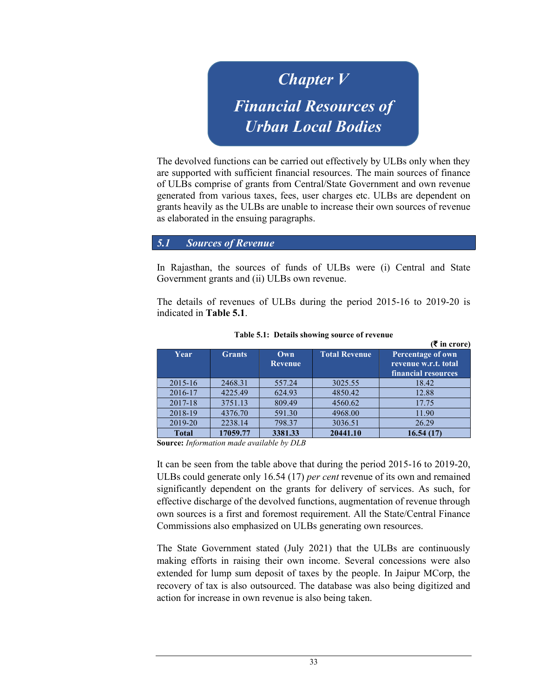Chapter V Financial Resources of Urban Local Bodies

The devolved functions can be carried out effectively by ULBs only when they are supported with sufficient financial resources. The main sources of finance of ULBs comprise of grants from Central/State Government and own revenue generated from various taxes, fees, user charges etc. ULBs are dependent on grants heavily as the ULBs are unable to increase their own sources of revenue as elaborated in the ensuing paragraphs.

5.1 Sources of Revenue

In Rajasthan, the sources of funds of ULBs were (i) Central and State Government grants and (ii) ULBs own revenue.

The details of revenues of ULBs during the period 2015-16 to 2019-20 is indicated in Table 5.1.

| Year         | <b>Grants</b> | Own<br><b>Revenue</b> | <b>Total Revenue</b> | IU Crorej<br>Percentage of own<br>revenue w.r.t. total |
|--------------|---------------|-----------------------|----------------------|--------------------------------------------------------|
|              |               |                       |                      | financial resources                                    |
| $2015 - 16$  | 2468.31       | 557.24                | 3025.55              | 18.42                                                  |
| 2016-17      | 4225.49       | 624.93                | 4850.42              | 12.88                                                  |
| 2017-18      | 3751.13       | 809.49                | 4560.62              | 17.75                                                  |
| 2018-19      | 4376.70       | 591.30                | 4968.00              | 11.90                                                  |
| 2019-20      | 2238.14       | 798.37                | 3036.51              | 26.29                                                  |
| <b>Total</b> | 17059.77      | 3381.33               | 20441.10             | 16.54(17)                                              |

Table 5.1: Details showing source of revenue

 $\sqrt{2}$  in cross  $\sqrt{2}$ 

Source: Information made available by DLB

It can be seen from the table above that during the period 2015-16 to 2019-20, ULBs could generate only 16.54 (17) per cent revenue of its own and remained significantly dependent on the grants for delivery of services. As such, for effective discharge of the devolved functions, augmentation of revenue through own sources is a first and foremost requirement. All the State/Central Finance Commissions also emphasized on ULBs generating own resources.

The State Government stated (July 2021) that the ULBs are continuously making efforts in raising their own income. Several concessions were also extended for lump sum deposit of taxes by the people. In Jaipur MCorp, the recovery of tax is also outsourced. The database was also being digitized and action for increase in own revenue is also being taken.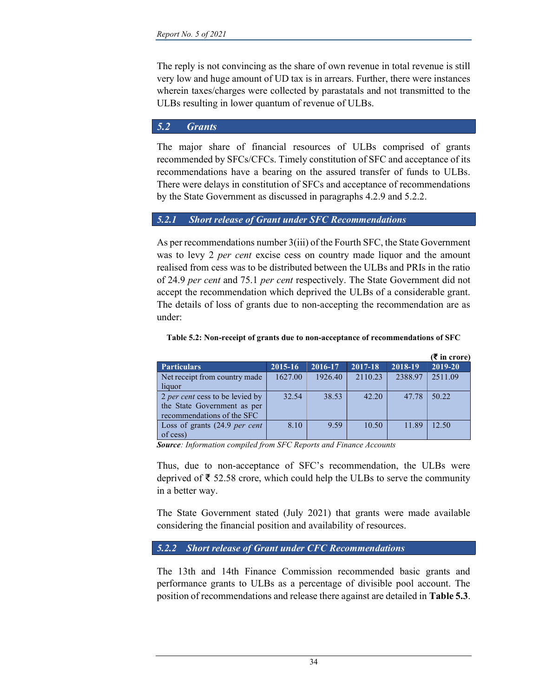The reply is not convincing as the share of own revenue in total revenue is still very low and huge amount of UD tax is in arrears. Further, there were instances wherein taxes/charges were collected by parastatals and not transmitted to the ULBs resulting in lower quantum of revenue of ULBs.

# 5.2 Grants

The major share of financial resources of ULBs comprised of grants recommended by SFCs/CFCs. Timely constitution of SFC and acceptance of its recommendations have a bearing on the assured transfer of funds to ULBs. There were delays in constitution of SFCs and acceptance of recommendations by the State Government as discussed in paragraphs 4.2.9 and 5.2.2.

# 5.2.1 Short release of Grant under SFC Recommendations

As per recommendations number 3(iii) of the Fourth SFC, the State Government was to levy 2 *per cent* excise cess on country made liquor and the amount realised from cess was to be distributed between the ULBs and PRIs in the ratio of 24.9 per cent and 75.1 per cent respectively. The State Government did not accept the recommendation which deprived the ULBs of a considerable grant. The details of loss of grants due to non-accepting the recommendation are as under:

|                                          |         |             |         |         | (₹ in crore) |
|------------------------------------------|---------|-------------|---------|---------|--------------|
| <b>Particulars</b>                       | 2015-16 | $2016 - 17$ | 2017-18 | 2018-19 | 2019-20      |
| Net receipt from country made            | 1627.00 | 1926.40     | 2110.23 | 2388.97 | 2511.09      |
| liquor                                   |         |             |         |         |              |
| 2 per cent cess to be levied by          | 32.54   | 38.53       | 42.20   | 47.78   | 50.22        |
| the State Government as per              |         |             |         |         |              |
| recommendations of the SFC               |         |             |         |         |              |
| Loss of grants $(24.9 \text{ per cent})$ | 8.10    | 9.59        | 10.50   | 11.89   | 12.50        |
| of cess)                                 |         |             |         |         |              |

Table 5.2: Non-receipt of grants due to non-acceptance of recommendations of SFC

Source: Information compiled from SFC Reports and Finance Accounts

Thus, due to non-acceptance of SFC's recommendation, the ULBs were deprived of ₹ 52.58 crore, which could help the ULBs to serve the community in a better way.

The State Government stated (July 2021) that grants were made available considering the financial position and availability of resources.

### 5.2.2 Short release of Grant under CFC Recommendations

The 13th and 14th Finance Commission recommended basic grants and performance grants to ULBs as a percentage of divisible pool account. The position of recommendations and release there against are detailed in Table 5.3.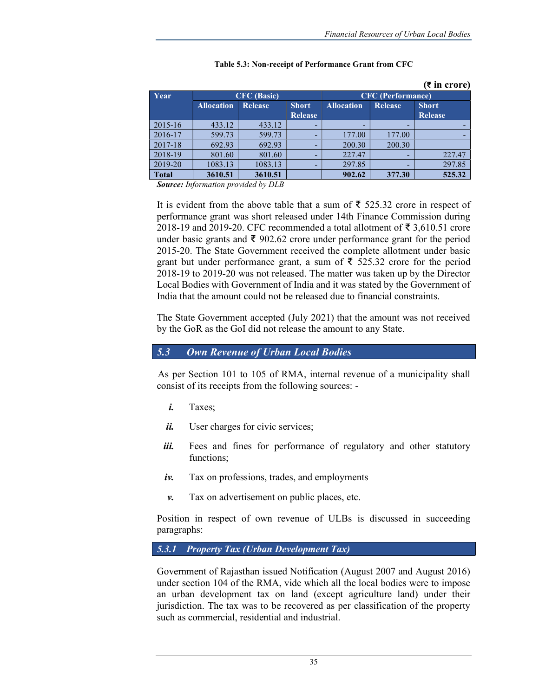(₹ in crore)

| (v ili crore) |                    |                |                |                                     |        |                |                          |  |
|---------------|--------------------|----------------|----------------|-------------------------------------|--------|----------------|--------------------------|--|
| Year          | <b>CFC</b> (Basic) |                |                |                                     |        |                | <b>CFC</b> (Performance) |  |
|               | <b>Allocation</b>  | <b>Release</b> | <b>Short</b>   | <b>Allocation</b><br><b>Release</b> |        | <b>Short</b>   |                          |  |
|               |                    |                | <b>Release</b> |                                     |        | <b>Release</b> |                          |  |
| $2015 - 16$   | 433.12             | 433.12         | -              |                                     |        |                |                          |  |
| 2016-17       | 599.73             | 599.73         |                | 177.00                              | 177.00 |                |                          |  |
| 2017-18       | 692.93             | 692.93         |                | 200.30                              | 200.30 |                |                          |  |
| 2018-19       | 801.60             | 801.60         |                | 227.47                              |        | 227.47         |                          |  |
| 2019-20       | 1083.13            | 1083.13        |                | 297.85                              |        | 297.85         |                          |  |
| <b>Total</b>  | 3610.51            | 3610.51        |                | 902.62                              | 377.30 | 525.32         |                          |  |

### Table 5.3: Non-receipt of Performance Grant from CFC

Source: Information provided by DLB

It is evident from the above table that a sum of ₹ 525.32 crore in respect of performance grant was short released under 14th Finance Commission during 2018-19 and 2019-20. CFC recommended a total allotment of ₹ 3,610.51 crore under basic grants and ₹ 902.62 crore under performance grant for the period 2015-20. The State Government received the complete allotment under basic grant but under performance grant, a sum of  $\bar{\xi}$  525.32 crore for the period 2018-19 to 2019-20 was not released. The matter was taken up by the Director Local Bodies with Government of India and it was stated by the Government of India that the amount could not be released due to financial constraints.

The State Government accepted (July 2021) that the amount was not received by the GoR as the GoI did not release the amount to any State.

### 5.3 Own Revenue of Urban Local Bodies

As per Section 101 to 105 of RMA, internal revenue of a municipality shall consist of its receipts from the following sources: -

- i. Taxes;
- $\ddot{\mathbf{i}}$ . User charges for civic services;
- iii. Fees and fines for performance of regulatory and other statutory functions;
- $iv.$  Tax on professions, trades, and employments
- v. Tax on advertisement on public places, etc.

Position in respect of own revenue of ULBs is discussed in succeeding paragraphs:

### 5.3.1 Property Tax (Urban Development Tax)

Government of Rajasthan issued Notification (August 2007 and August 2016) under section 104 of the RMA, vide which all the local bodies were to impose an urban development tax on land (except agriculture land) under their jurisdiction. The tax was to be recovered as per classification of the property such as commercial, residential and industrial.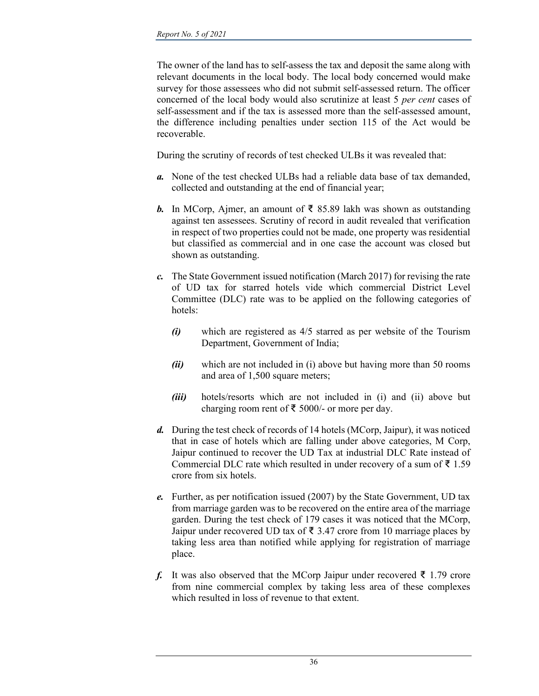The owner of the land has to self-assess the tax and deposit the same along with relevant documents in the local body. The local body concerned would make survey for those assessees who did not submit self-assessed return. The officer concerned of the local body would also scrutinize at least 5 per cent cases of self-assessment and if the tax is assessed more than the self-assessed amount, the difference including penalties under section 115 of the Act would be recoverable.

During the scrutiny of records of test checked ULBs it was revealed that:

- a. None of the test checked ULBs had a reliable data base of tax demanded, collected and outstanding at the end of financial year;
- **b.** In MCorp, Ajmer, an amount of ₹ 85.89 lakh was shown as outstanding against ten assessees. Scrutiny of record in audit revealed that verification in respect of two properties could not be made, one property was residential but classified as commercial and in one case the account was closed but shown as outstanding.
- c. The State Government issued notification (March 2017) for revising the rate of UD tax for starred hotels vide which commercial District Level Committee (DLC) rate was to be applied on the following categories of hotels:
	- $(i)$  which are registered as  $4/5$  starred as per website of the Tourism Department, Government of India;
	- $(ii)$  which are not included in (i) above but having more than 50 rooms and area of 1,500 square meters;
	- (*iii*) hotels/resorts which are not included in (*i*) and (*ii*) above but charging room rent of ₹ 5000/- or more per day.
- d. During the test check of records of 14 hotels (MCorp, Jaipur), it was noticed that in case of hotels which are falling under above categories, M Corp, Jaipur continued to recover the UD Tax at industrial DLC Rate instead of Commercial DLC rate which resulted in under recovery of a sum of ₹ 1.59 crore from six hotels.
- e. Further, as per notification issued (2007) by the State Government, UD tax from marriage garden was to be recovered on the entire area of the marriage garden. During the test check of 179 cases it was noticed that the MCorp, Jaipur under recovered UD tax of ₹ 3.47 crore from 10 marriage places by taking less area than notified while applying for registration of marriage place.
- f. It was also observed that the MCorp Jaipur under recovered  $\bar{\epsilon}$  1.79 crore from nine commercial complex by taking less area of these complexes which resulted in loss of revenue to that extent.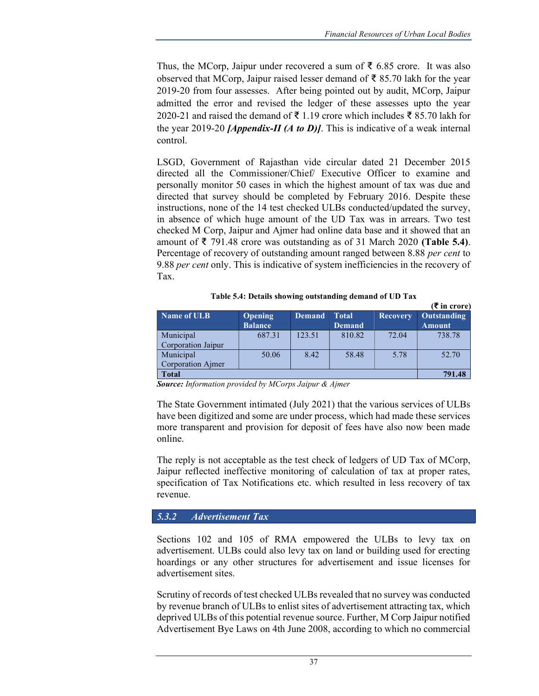$(π + \dots)$ 

Thus, the MCorp, Jaipur under recovered a sum of ₹ 6.85 crore. It was also observed that MCorp, Jaipur raised lesser demand of ₹ 85.70 lakh for the year 2019-20 from four assesses. After being pointed out by audit, MCorp, Jaipur admitted the error and revised the ledger of these assesses upto the year 2020-21 and raised the demand of ₹ 1.19 crore which includes ₹ 85.70 lakh for the year 2019-20 *[Appendix-II (A to D)]*. This is indicative of a weak internal control.

LSGD, Government of Rajasthan vide circular dated 21 December 2015 directed all the Commissioner/Chief/ Executive Officer to examine and personally monitor 50 cases in which the highest amount of tax was due and directed that survey should be completed by February 2016. Despite these instructions, none of the 14 test checked ULBs conducted/updated the survey, in absence of which huge amount of the UD Tax was in arrears. Two test checked M Corp, Jaipur and Ajmer had online data base and it showed that an amount of ₹ 791.48 crore was outstanding as of 31 March 2020 (Table 5.4). Percentage of recovery of outstanding amount ranged between 8.88 per cent to 9.88 per cent only. This is indicative of system inefficiencies in the recovery of Tax.

|                    |                                  |               |                               |                 | (s in crore)                        |
|--------------------|----------------------------------|---------------|-------------------------------|-----------------|-------------------------------------|
| Name of ULB        | <b>Opening</b><br><b>Balance</b> | <b>Demand</b> | <b>Total</b><br><b>Demand</b> | <b>Recovery</b> | <b>Outstanding</b><br><b>Amount</b> |
| Municipal          | 687.31                           | 123.51        | 810.82                        | 72.04           | 738.78                              |
| Corporation Jaipur |                                  |               |                               |                 |                                     |
| Municipal          | 50.06                            | 8.42          | 58.48                         | 5.78            | 52.70                               |
| Corporation Aimer  |                                  |               |                               |                 |                                     |
| <b>Total</b>       |                                  |               |                               |                 | 791.48                              |

Table 5.4: Details showing outstanding demand of UD Tax

Source: Information provided by MCorps Jaipur & Ajmer

The State Government intimated (July 2021) that the various services of ULBs have been digitized and some are under process, which had made these services more transparent and provision for deposit of fees have also now been made online.

The reply is not acceptable as the test check of ledgers of UD Tax of MCorp, Jaipur reflected ineffective monitoring of calculation of tax at proper rates, specification of Tax Notifications etc. which resulted in less recovery of tax revenue.

# 5.3.2 Advertisement Tax

Sections 102 and 105 of RMA empowered the ULBs to levy tax on advertisement. ULBs could also levy tax on land or building used for erecting hoardings or any other structures for advertisement and issue licenses for advertisement sites.

Scrutiny of records of test checked ULBs revealed that no survey was conducted by revenue branch of ULBs to enlist sites of advertisement attracting tax, which deprived ULBs of this potential revenue source. Further, M Corp Jaipur notified Advertisement Bye Laws on 4th June 2008, according to which no commercial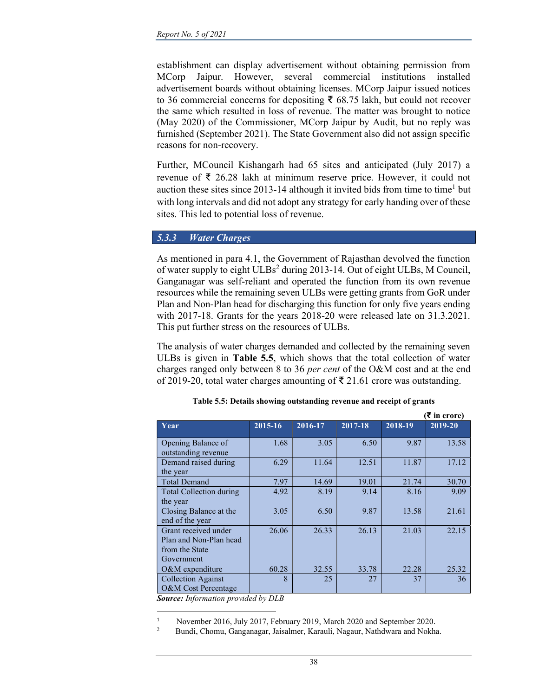establishment can display advertisement without obtaining permission from MCorp Jaipur. However, several commercial institutions installed advertisement boards without obtaining licenses. MCorp Jaipur issued notices to 36 commercial concerns for depositing ₹ 68.75 lakh, but could not recover the same which resulted in loss of revenue. The matter was brought to notice (May 2020) of the Commissioner, MCorp Jaipur by Audit, but no reply was furnished (September 2021). The State Government also did not assign specific reasons for non-recovery.

Further, MCouncil Kishangarh had 65 sites and anticipated (July 2017) a revenue of ₹ 26.28 lakh at minimum reserve price. However, it could not auction these sites since  $2013-14$  although it invited bids from time to time<sup>1</sup> but with long intervals and did not adopt any strategy for early handing over of these sites. This led to potential loss of revenue.

### 5.3.3 Water Charges

As mentioned in para 4.1, the Government of Rajasthan devolved the function of water supply to eight ULBs<sup>2</sup> during 2013-14. Out of eight ULBs, M Council, Ganganagar was self-reliant and operated the function from its own revenue resources while the remaining seven ULBs were getting grants from GoR under Plan and Non-Plan head for discharging this function for only five years ending with 2017-18. Grants for the years 2018-20 were released late on 31.3.2021. This put further stress on the resources of ULBs.

The analysis of water charges demanded and collected by the remaining seven ULBs is given in Table 5.5, which shows that the total collection of water charges ranged only between 8 to 36 per cent of the O&M cost and at the end of 2019-20, total water charges amounting of ₹ 21.61 crore was outstanding.

|                                                                                |         |         |         |         | (₹ in crore) |
|--------------------------------------------------------------------------------|---------|---------|---------|---------|--------------|
| Year                                                                           | 2015-16 | 2016-17 | 2017-18 | 2018-19 | 2019-20      |
| Opening Balance of<br>outstanding revenue                                      | 1.68    | 3.05    | 6.50    | 9.87    | 13.58        |
| Demand raised during<br>the year                                               | 6.29    | 11.64   | 12.51   | 11.87   | 17.12        |
| <b>Total Demand</b>                                                            | 7.97    | 14.69   | 19.01   | 21.74   | 30.70        |
| Total Collection during<br>the year                                            | 4.92    | 8.19    | 9.14    | 8.16    | 9.09         |
| Closing Balance at the<br>end of the year                                      | 3.05    | 6.50    | 9.87    | 13.58   | 21.61        |
| Grant received under<br>Plan and Non-Plan head<br>from the State<br>Government | 26.06   | 26.33   | 26.13   | 21.03   | 22.15        |
| $O\&M$ expenditure                                                             | 60.28   | 32.55   | 33.78   | 22.28   | 25.32        |
| <b>Collection Against</b><br>O&M Cost Percentage                               | 8       | 25      | 27      | 37      | 36           |

|  | Table 5.5: Details showing outstanding revenue and receipt of grants |  |
|--|----------------------------------------------------------------------|--|
|--|----------------------------------------------------------------------|--|

Source: Information provided by DLB

<sup>1</sup> November 2016, July 2017, February 2019, March 2020 and September 2020.

<sup>2</sup> Bundi, Chomu, Ganganagar, Jaisalmer, Karauli, Nagaur, Nathdwara and Nokha.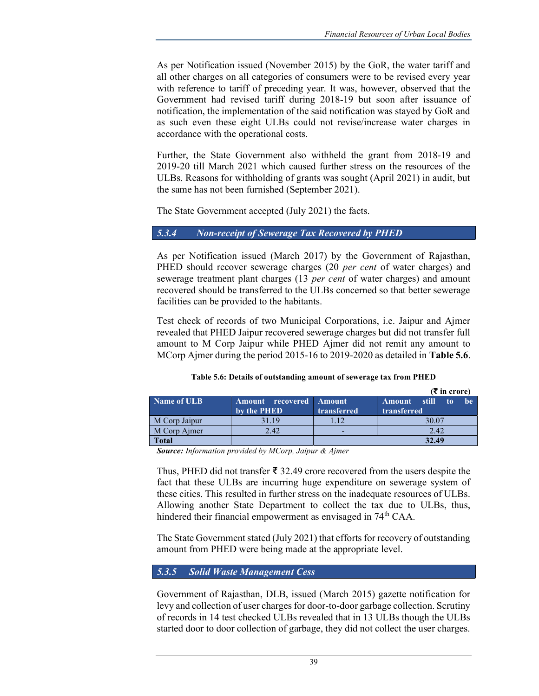As per Notification issued (November 2015) by the GoR, the water tariff and all other charges on all categories of consumers were to be revised every year with reference to tariff of preceding year. It was, however, observed that the Government had revised tariff during 2018-19 but soon after issuance of notification, the implementation of the said notification was stayed by GoR and as such even these eight ULBs could not revise/increase water charges in accordance with the operational costs.

Further, the State Government also withheld the grant from 2018-19 and 2019-20 till March 2021 which caused further stress on the resources of the ULBs. Reasons for withholding of grants was sought (April 2021) in audit, but the same has not been furnished (September 2021).

The State Government accepted (July 2021) the facts.

### 5.3.4 Non-receipt of Sewerage Tax Recovered by PHED

As per Notification issued (March 2017) by the Government of Rajasthan, PHED should recover sewerage charges (20 per cent of water charges) and sewerage treatment plant charges (13 per cent of water charges) and amount recovered should be transferred to the ULBs concerned so that better sewerage facilities can be provided to the habitants.

Test check of records of two Municipal Corporations, i.e. Jaipur and Ajmer revealed that PHED Jaipur recovered sewerage charges but did not transfer full amount to M Corp Jaipur while PHED Ajmer did not remit any amount to MCorp Ajmer during the period 2015-16 to 2019-2020 as detailed in **Table 5.6**.

|               |                                               |             | $(\bar{\bar{\mathbf{x}}}$ in crore)                          |
|---------------|-----------------------------------------------|-------------|--------------------------------------------------------------|
| Name of ULB   | <b>Amount recovered Amount</b><br>by the PHED | transferred | still –<br><b>he</b><br><b>Amount</b><br>-to-<br>transferred |
| M Corp Jaipur | 31.19                                         | .12         | 30.07                                                        |
| M Corp Ajmer  | 2.42                                          | -           | 2.42                                                         |
| Total         |                                               |             | 32.49                                                        |

#### Table 5.6: Details of outstanding amount of sewerage tax from PHED

Source: Information provided by MCorp, Jaipur & Ajmer

Thus, PHED did not transfer ₹ 32.49 crore recovered from the users despite the fact that these ULBs are incurring huge expenditure on sewerage system of these cities. This resulted in further stress on the inadequate resources of ULBs. Allowing another State Department to collect the tax due to ULBs, thus, hindered their financial empowerment as envisaged in 74<sup>th</sup> CAA.

The State Government stated (July 2021) that efforts for recovery of outstanding amount from PHED were being made at the appropriate level.

### 5.3.5 Solid Waste Management Cess

Government of Rajasthan, DLB, issued (March 2015) gazette notification for levy and collection of user charges for door-to-door garbage collection. Scrutiny of records in 14 test checked ULBs revealed that in 13 ULBs though the ULBs started door to door collection of garbage, they did not collect the user charges.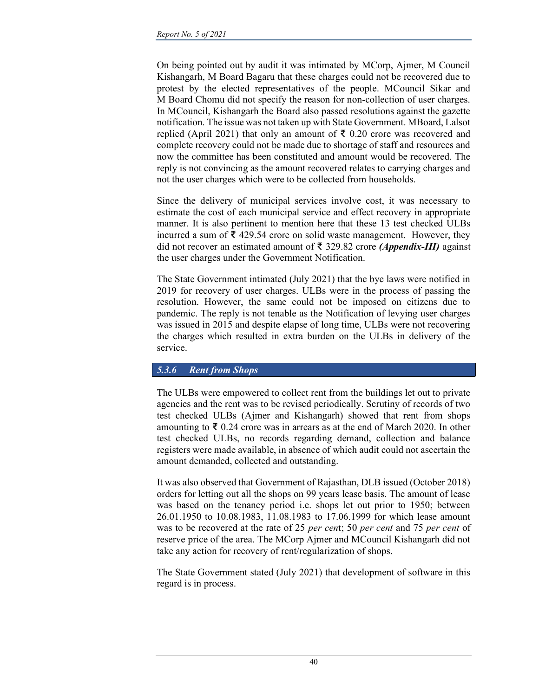On being pointed out by audit it was intimated by MCorp, Ajmer, M Council Kishangarh, M Board Bagaru that these charges could not be recovered due to protest by the elected representatives of the people. MCouncil Sikar and M Board Chomu did not specify the reason for non-collection of user charges. In MCouncil, Kishangarh the Board also passed resolutions against the gazette notification. The issue was not taken up with State Government. MBoard, Lalsot replied (April 2021) that only an amount of ₹ 0.20 crore was recovered and complete recovery could not be made due to shortage of staff and resources and now the committee has been constituted and amount would be recovered. The reply is not convincing as the amount recovered relates to carrying charges and not the user charges which were to be collected from households.

Since the delivery of municipal services involve cost, it was necessary to estimate the cost of each municipal service and effect recovery in appropriate manner. It is also pertinent to mention here that these 13 test checked ULBs incurred a sum of ₹ 429.54 crore on solid waste management. However, they did not recover an estimated amount of ₹ 329.82 crore (*Appendix-III*) against the user charges under the Government Notification.

The State Government intimated (July 2021) that the bye laws were notified in 2019 for recovery of user charges. ULBs were in the process of passing the resolution. However, the same could not be imposed on citizens due to pandemic. The reply is not tenable as the Notification of levying user charges was issued in 2015 and despite elapse of long time, ULBs were not recovering the charges which resulted in extra burden on the ULBs in delivery of the service.

### 5.3.6 Rent from Shops

The ULBs were empowered to collect rent from the buildings let out to private agencies and the rent was to be revised periodically. Scrutiny of records of two test checked ULBs (Ajmer and Kishangarh) showed that rent from shops amounting to  $\bar{\xi}$  0.24 crore was in arrears as at the end of March 2020. In other test checked ULBs, no records regarding demand, collection and balance registers were made available, in absence of which audit could not ascertain the amount demanded, collected and outstanding.

It was also observed that Government of Rajasthan, DLB issued (October 2018) orders for letting out all the shops on 99 years lease basis. The amount of lease was based on the tenancy period i.e. shops let out prior to 1950; between 26.01.1950 to 10.08.1983, 11.08.1983 to 17.06.1999 for which lease amount was to be recovered at the rate of 25 per cent; 50 per cent and 75 per cent of reserve price of the area. The MCorp Ajmer and MCouncil Kishangarh did not take any action for recovery of rent/regularization of shops.

The State Government stated (July 2021) that development of software in this regard is in process.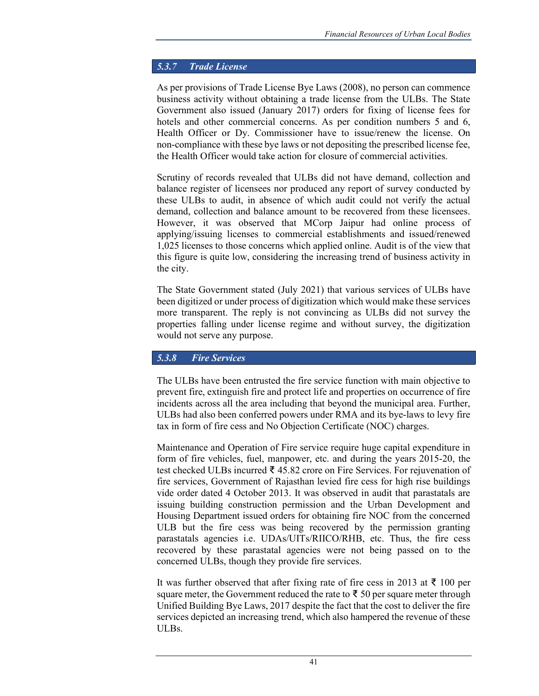## 5.3.7 Trade License

As per provisions of Trade License Bye Laws (2008), no person can commence business activity without obtaining a trade license from the ULBs. The State Government also issued (January 2017) orders for fixing of license fees for hotels and other commercial concerns. As per condition numbers 5 and 6, Health Officer or Dy. Commissioner have to issue/renew the license. On non-compliance with these bye laws or not depositing the prescribed license fee, the Health Officer would take action for closure of commercial activities.

Scrutiny of records revealed that ULBs did not have demand, collection and balance register of licensees nor produced any report of survey conducted by these ULBs to audit, in absence of which audit could not verify the actual demand, collection and balance amount to be recovered from these licensees. However, it was observed that MCorp Jaipur had online process of applying/issuing licenses to commercial establishments and issued/renewed 1,025 licenses to those concerns which applied online. Audit is of the view that this figure is quite low, considering the increasing trend of business activity in the city.

The State Government stated (July 2021) that various services of ULBs have been digitized or under process of digitization which would make these services more transparent. The reply is not convincing as ULBs did not survey the properties falling under license regime and without survey, the digitization would not serve any purpose.

# 5.3.8 Fire Services

The ULBs have been entrusted the fire service function with main objective to prevent fire, extinguish fire and protect life and properties on occurrence of fire incidents across all the area including that beyond the municipal area. Further, ULBs had also been conferred powers under RMA and its bye-laws to levy fire tax in form of fire cess and No Objection Certificate (NOC) charges.

Maintenance and Operation of Fire service require huge capital expenditure in form of fire vehicles, fuel, manpower, etc. and during the years 2015-20, the test checked ULBs incurred ₹ 45.82 crore on Fire Services. For rejuvenation of fire services, Government of Rajasthan levied fire cess for high rise buildings vide order dated 4 October 2013. It was observed in audit that parastatals are issuing building construction permission and the Urban Development and Housing Department issued orders for obtaining fire NOC from the concerned ULB but the fire cess was being recovered by the permission granting parastatals agencies i.e. UDAs/UITs/RIICO/RHB, etc. Thus, the fire cess recovered by these parastatal agencies were not being passed on to the concerned ULBs, though they provide fire services.

It was further observed that after fixing rate of fire cess in 2013 at ₹ 100 per square meter, the Government reduced the rate to  $\bar{\tau}$  50 per square meter through Unified Building Bye Laws, 2017 despite the fact that the cost to deliver the fire services depicted an increasing trend, which also hampered the revenue of these ULBs.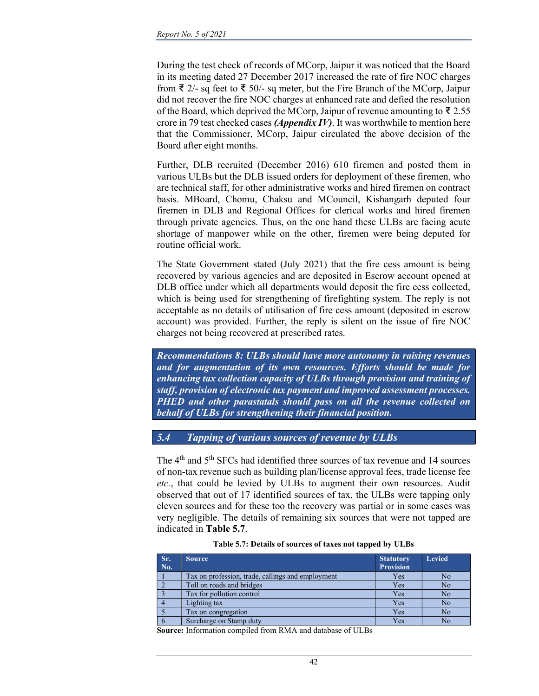During the test check of records of MCorp, Jaipur it was noticed that the Board in its meeting dated 27 December 2017 increased the rate of fire NOC charges from  $\bar{\xi}$  2/- sq feet to  $\bar{\xi}$  50/- sq meter, but the Fire Branch of the MCorp, Jaipur did not recover the fire NOC charges at enhanced rate and defied the resolution of the Board, which deprived the MCorp, Jaipur of revenue amounting to ₹2.55 crore in 79 test checked cases *(Appendix IV)*. It was worthwhile to mention here that the Commissioner, MCorp, Jaipur circulated the above decision of the Board after eight months.

Further, DLB recruited (December 2016) 610 firemen and posted them in various ULBs but the DLB issued orders for deployment of these firemen, who are technical staff, for other administrative works and hired firemen on contract basis. MBoard, Chomu, Chaksu and MCouncil, Kishangarh deputed four firemen in DLB and Regional Offices for clerical works and hired firemen through private agencies. Thus, on the one hand these ULBs are facing acute shortage of manpower while on the other, firemen were being deputed for routine official work.

The State Government stated (July 2021) that the fire cess amount is being recovered by various agencies and are deposited in Escrow account opened at DLB office under which all departments would deposit the fire cess collected, which is being used for strengthening of firefighting system. The reply is not acceptable as no details of utilisation of fire cess amount (deposited in escrow account) was provided. Further, the reply is silent on the issue of fire NOC charges not being recovered at prescribed rates.

Recommendations 8: ULBs should have more autonomy in raising revenues and for augmentation of its own resources. Efforts should be made for enhancing tax collection capacity of ULBs through provision and training of staff, provision of electronic tax payment and improved assessment processes. PHED and other parastatals should pass on all the revenue collected on behalf of ULBs for strengthening their financial position.

# 5.4 Tapping of various sources of revenue by ULBs

The 4<sup>th</sup> and 5<sup>th</sup> SFCs had identified three sources of tax revenue and 14 sources of non-tax revenue such as building plan/license approval fees, trade license fee etc., that could be levied by ULBs to augment their own resources. Audit observed that out of 17 identified sources of tax, the ULBs were tapping only eleven sources and for these too the recovery was partial or in some cases was very negligible. The details of remaining six sources that were not tapped are indicated in Table 5.7.

| Sr.<br>No. | Source.                                           | <b>Statutory</b><br><b>Provision</b> | <b>Levied</b> |
|------------|---------------------------------------------------|--------------------------------------|---------------|
|            | Tax on profession, trade, callings and employment | Yes                                  | No            |
|            | Toll on roads and bridges                         | Yes                                  | No            |
|            | Tax for pollution control                         | Yes                                  | No            |
|            | Lighting tax                                      | Yes                                  | No            |
|            | Tax on congregation                               | Yes                                  | No            |
|            | Surcharge on Stamp duty                           | Yes                                  | No            |

#### Table 5.7: Details of sources of taxes not tapped by ULBs

Source: Information compiled from RMA and database of ULBs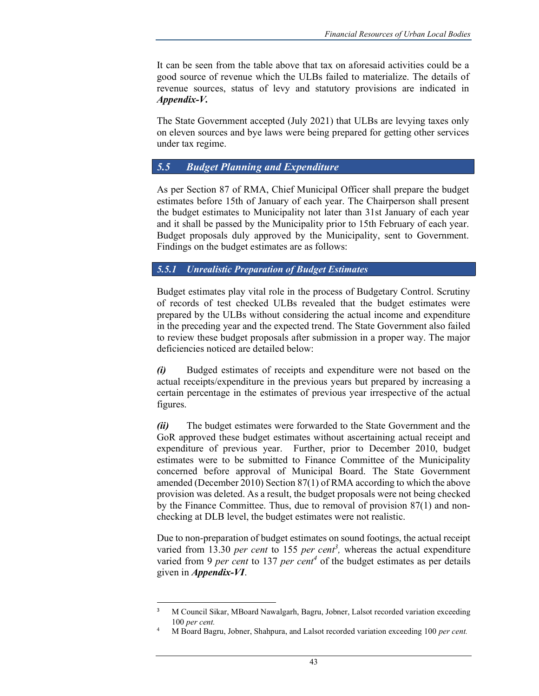It can be seen from the table above that tax on aforesaid activities could be a good source of revenue which the ULBs failed to materialize. The details of revenue sources, status of levy and statutory provisions are indicated in Appendix-V.

The State Government accepted (July 2021) that ULBs are levying taxes only on eleven sources and bye laws were being prepared for getting other services under tax regime.

# 5.5 Budget Planning and Expenditure

As per Section 87 of RMA, Chief Municipal Officer shall prepare the budget estimates before 15th of January of each year. The Chairperson shall present the budget estimates to Municipality not later than 31st January of each year and it shall be passed by the Municipality prior to 15th February of each year. Budget proposals duly approved by the Municipality, sent to Government. Findings on the budget estimates are as follows:

# 5.5.1 Unrealistic Preparation of Budget Estimates

Budget estimates play vital role in the process of Budgetary Control. Scrutiny of records of test checked ULBs revealed that the budget estimates were prepared by the ULBs without considering the actual income and expenditure in the preceding year and the expected trend. The State Government also failed to review these budget proposals after submission in a proper way. The major deficiencies noticed are detailed below:

(i) Budged estimates of receipts and expenditure were not based on the actual receipts/expenditure in the previous years but prepared by increasing a certain percentage in the estimates of previous year irrespective of the actual figures.

(ii) The budget estimates were forwarded to the State Government and the GoR approved these budget estimates without ascertaining actual receipt and expenditure of previous year. Further, prior to December 2010, budget estimates were to be submitted to Finance Committee of the Municipality concerned before approval of Municipal Board. The State Government amended (December 2010) Section 87(1) of RMA according to which the above provision was deleted. As a result, the budget proposals were not being checked by the Finance Committee. Thus, due to removal of provision 87(1) and nonchecking at DLB level, the budget estimates were not realistic.

Due to non-preparation of budget estimates on sound footings, the actual receipt varied from 13.30 *per cent* to 155 *per cent*<sup>3</sup>, whereas the actual expenditure varied from 9 per cent to 137 per cent<sup>4</sup> of the budget estimates as per details given in Appendix-VI.

<sup>3</sup> M Council Sikar, MBoard Nawalgarh, Bagru, Jobner, Lalsot recorded variation exceeding 100 per cent.

<sup>4</sup> M Board Bagru, Jobner, Shahpura, and Lalsot recorded variation exceeding 100 per cent.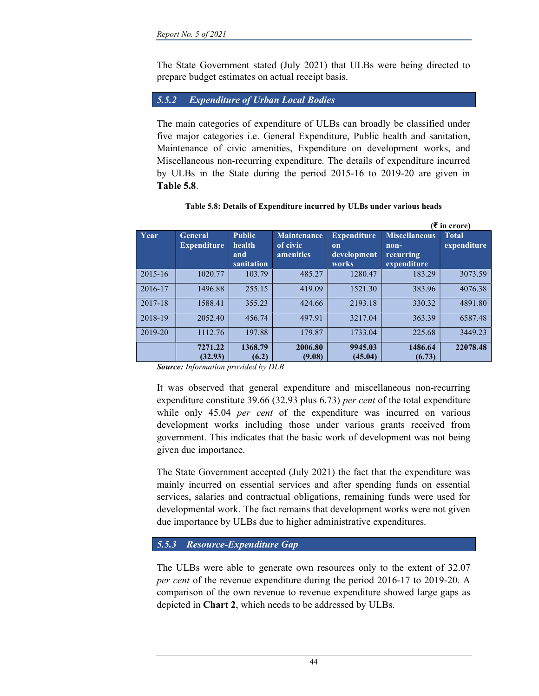The State Government stated (July 2021) that ULBs were being directed to prepare budget estimates on actual receipt basis.

# 5.5.2 Expenditure of Urban Local Bodies

The main categories of expenditure of ULBs can broadly be classified under five major categories i.e. General Expenditure, Public health and sanitation, Maintenance of civic amenities, Expenditure on development works, and Miscellaneous non-recurring expenditure. The details of expenditure incurred by ULBs in the State during the period 2015-16 to 2019-20 are given in Table 5.8.

|         |                                      |                                              |                                             |                                                             |                                                            | $(5$ in crore)              |
|---------|--------------------------------------|----------------------------------------------|---------------------------------------------|-------------------------------------------------------------|------------------------------------------------------------|-----------------------------|
| Year    | <b>General</b><br><b>Expenditure</b> | <b>Public</b><br>health<br>and<br>sanitation | <b>Maintenance</b><br>of civic<br>amenities | <b>Expenditure</b><br><sub>on</sub><br>development<br>works | <b>Miscellaneous</b><br>$non-$<br>recurring<br>expenditure | <b>Total</b><br>expenditure |
| 2015-16 | 1020.77                              | 103.79                                       | 485.27                                      | 1280.47                                                     | 183.29                                                     | 3073.59                     |
| 2016-17 | 1496.88                              | 255.15                                       | 419.09                                      | 1521.30                                                     | 383.96                                                     | 4076.38                     |
| 2017-18 | 1588.41                              | 355.23                                       | 424.66                                      | 2193.18                                                     | 330.32                                                     | 4891.80                     |
| 2018-19 | 2052.40                              | 456.74                                       | 497.91                                      | 3217.04                                                     | 363.39                                                     | 6587.48                     |
| 2019-20 | 1112.76                              | 197.88                                       | 179.87                                      | 1733.04                                                     | 225.68                                                     | 3449.23                     |
|         | 7271.22<br>(32.93)                   | 1368.79<br>(6.2)                             | 2006.80<br>(9.08)                           | 9945.03<br>(45.04)                                          | 1486.64<br>(6.73)                                          | 22078.48                    |

### Table 5.8: Details of Expenditure incurred by ULBs under various heads

Source: Information provided by DLB

It was observed that general expenditure and miscellaneous non-recurring expenditure constitute 39.66 (32.93 plus 6.73) per cent of the total expenditure while only 45.04 *per cent* of the expenditure was incurred on various development works including those under various grants received from government. This indicates that the basic work of development was not being given due importance.

The State Government accepted (July 2021) the fact that the expenditure was mainly incurred on essential services and after spending funds on essential services, salaries and contractual obligations, remaining funds were used for developmental work. The fact remains that development works were not given due importance by ULBs due to higher administrative expenditures.

### 5.5.3 Resource-Expenditure Gap

The ULBs were able to generate own resources only to the extent of 32.07 per cent of the revenue expenditure during the period 2016-17 to 2019-20. A comparison of the own revenue to revenue expenditure showed large gaps as depicted in Chart 2, which needs to be addressed by ULBs.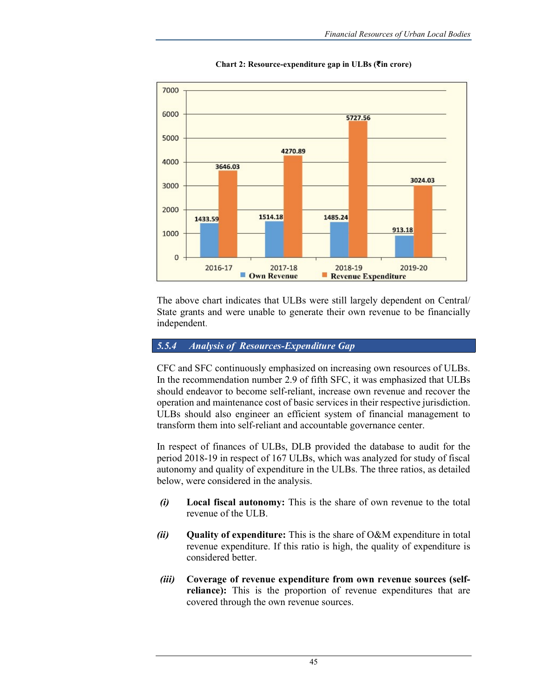

Chart 2: Resource-expenditure gap in ULBs (₹in crore)

The above chart indicates that ULBs were still largely dependent on Central/ State grants and were unable to generate their own revenue to be financially independent.

#### 5.5.4 Analysis of Resources-Expenditure Gap

CFC and SFC continuously emphasized on increasing own resources of ULBs. In the recommendation number 2.9 of fifth SFC, it was emphasized that ULBs should endeavor to become self-reliant, increase own revenue and recover the operation and maintenance cost of basic services in their respective jurisdiction. ULBs should also engineer an efficient system of financial management to transform them into self-reliant and accountable governance center.

In respect of finances of ULBs, DLB provided the database to audit for the period 2018-19 in respect of 167 ULBs, which was analyzed for study of fiscal autonomy and quality of expenditure in the ULBs. The three ratios, as detailed below, were considered in the analysis.

- (i) Local fiscal autonomy: This is the share of own revenue to the total revenue of the ULB.
- (ii) Quality of expenditure: This is the share of O&M expenditure in total revenue expenditure. If this ratio is high, the quality of expenditure is considered better.
- (iii) Coverage of revenue expenditure from own revenue sources (selfreliance): This is the proportion of revenue expenditures that are covered through the own revenue sources.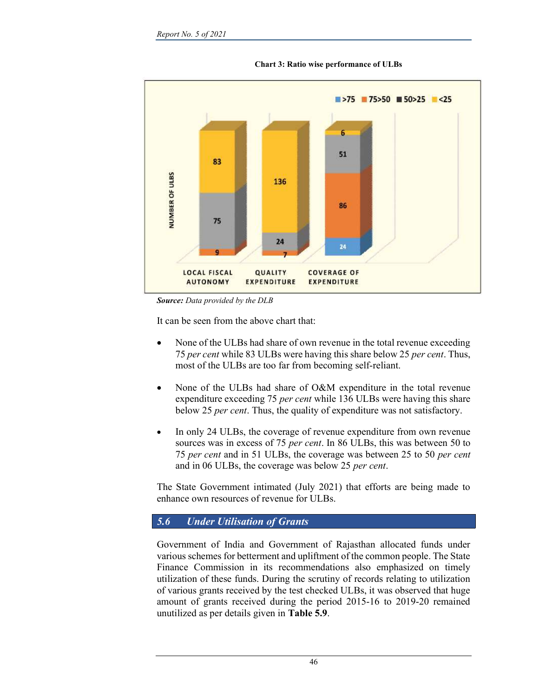

Chart 3: Ratio wise performance of ULBs

Source: Data provided by the DLB

It can be seen from the above chart that:

- None of the ULBs had share of own revenue in the total revenue exceeding 75 per cent while 83 ULBs were having this share below 25 per cent. Thus, most of the ULBs are too far from becoming self-reliant.
- None of the ULBs had share of O&M expenditure in the total revenue expenditure exceeding 75 *per cent* while 136 ULBs were having this share below 25 per cent. Thus, the quality of expenditure was not satisfactory.
- In only 24 ULBs, the coverage of revenue expenditure from own revenue sources was in excess of 75 *per cent*. In 86 ULBs, this was between 50 to 75 per cent and in 51 ULBs, the coverage was between 25 to 50 per cent and in 06 ULBs, the coverage was below 25 per cent.

The State Government intimated (July 2021) that efforts are being made to enhance own resources of revenue for ULBs.

### 5.6 Under Utilisation of Grants

Government of India and Government of Rajasthan allocated funds under various schemes for betterment and upliftment of the common people. The State Finance Commission in its recommendations also emphasized on timely utilization of these funds. During the scrutiny of records relating to utilization of various grants received by the test checked ULBs, it was observed that huge amount of grants received during the period 2015-16 to 2019-20 remained unutilized as per details given in Table 5.9.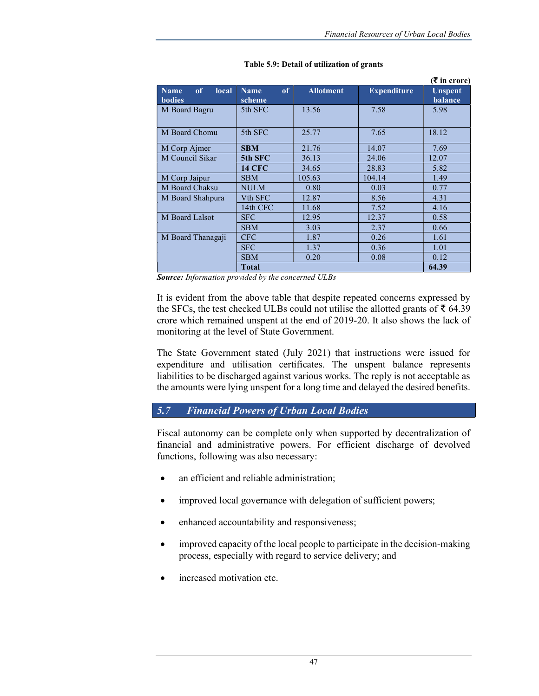|                                             |                             |                  |                    | $(\bar{\bar{\mathbf{x}}}$ in crore) |
|---------------------------------------------|-----------------------------|------------------|--------------------|-------------------------------------|
| of<br>local<br><b>Name</b><br><b>bodies</b> | of<br><b>Name</b><br>scheme | <b>Allotment</b> | <b>Expenditure</b> | <b>Unspent</b><br><b>balance</b>    |
| M Board Bagru                               | 5th SFC                     | 13.56            | 7.58               | 5.98                                |
| M Board Chomu                               | 5th SFC                     | 25.77            | 7.65               | 18.12                               |
| M Corp Ajmer                                | <b>SBM</b>                  | 21.76            | 14.07              | 7.69                                |
| M Council Sikar                             | 5th SFC                     | 36.13            | 24.06              | 12.07                               |
|                                             | <b>14 CFC</b>               | 34.65            | 28.83              | 5.82                                |
| M Corp Jaipur                               | <b>SBM</b>                  | 105.63           | 104.14             | 1.49                                |
| M Board Chaksu                              | <b>NULM</b>                 | 0.80             | 0.03               | 0.77                                |
| M Board Shahpura                            | V <sub>th</sub> SFC         | 12.87            | 8.56               | 4.31                                |
|                                             | 14th CFC                    | 11.68            | 7.52               | 4.16                                |
| M Board Lalsot                              | <b>SFC</b>                  | 12.95            | 12.37              | 0.58                                |
|                                             | <b>SBM</b>                  | 3.03             | 2.37               | 0.66                                |
| M Board Thanagaji                           | <b>CFC</b>                  | 1.87             | 0.26               | 1.61                                |
|                                             | <b>SFC</b>                  | 1.37             | 0.36               | 1.01                                |
|                                             | <b>SBM</b>                  | 0.20             | 0.08               | 0.12                                |
|                                             | <b>Total</b>                |                  |                    | 64.39                               |

#### Table 5.9: Detail of utilization of grants

Source: Information provided by the concerned ULBs

It is evident from the above table that despite repeated concerns expressed by the SFCs, the test checked ULBs could not utilise the allotted grants of ₹ 64.39 crore which remained unspent at the end of 2019-20. It also shows the lack of monitoring at the level of State Government.

The State Government stated (July 2021) that instructions were issued for expenditure and utilisation certificates. The unspent balance represents liabilities to be discharged against various works. The reply is not acceptable as the amounts were lying unspent for a long time and delayed the desired benefits.

# 5.7 Financial Powers of Urban Local Bodies

Fiscal autonomy can be complete only when supported by decentralization of financial and administrative powers. For efficient discharge of devolved functions, following was also necessary:

- an efficient and reliable administration;
- improved local governance with delegation of sufficient powers;
- enhanced accountability and responsiveness;
- improved capacity of the local people to participate in the decision-making process, especially with regard to service delivery; and
- increased motivation etc.